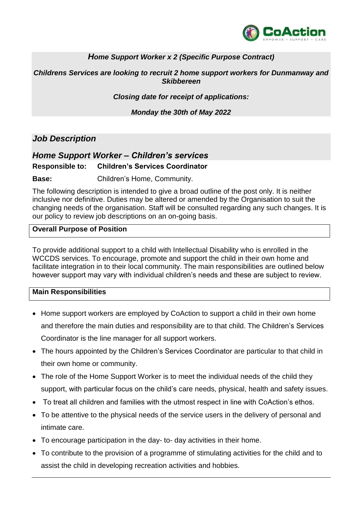

## *Home Support Worker x 2 (Specific Purpose Contract)*

*Childrens Services are looking to recruit 2 home support workers for Dunmanway and Skibbereen*

*Closing date for receipt of applications:*

*Monday the 30th of May 2022*

# *Job Description*

## *Home Support Worker – Children's services*

#### **Responsible to: Children's Services Coordinator**

**Base:** Children's Home, Community.

The following description is intended to give a broad outline of the post only. It is neither inclusive nor definitive. Duties may be altered or amended by the Organisation to suit the changing needs of the organisation. Staff will be consulted regarding any such changes. It is our policy to review job descriptions on an on-going basis.

#### **Overall Purpose of Position**

To provide additional support to a child with Intellectual Disability who is enrolled in the WCCDS services. To encourage, promote and support the child in their own home and facilitate integration in to their local community. The main responsibilities are outlined below however support may vary with individual children's needs and these are subject to review.

### **Main Responsibilities**

- Home support workers are employed by CoAction to support a child in their own home and therefore the main duties and responsibility are to that child. The Children's Services Coordinator is the line manager for all support workers.
- The hours appointed by the Children's Services Coordinator are particular to that child in their own home or community.
- The role of the Home Support Worker is to meet the individual needs of the child they support, with particular focus on the child's care needs, physical, health and safety issues.
- To treat all children and families with the utmost respect in line with CoAction's ethos.
- To be attentive to the physical needs of the service users in the delivery of personal and intimate care.
- To encourage participation in the day- to- day activities in their home.
- To contribute to the provision of a programme of stimulating activities for the child and to assist the child in developing recreation activities and hobbies.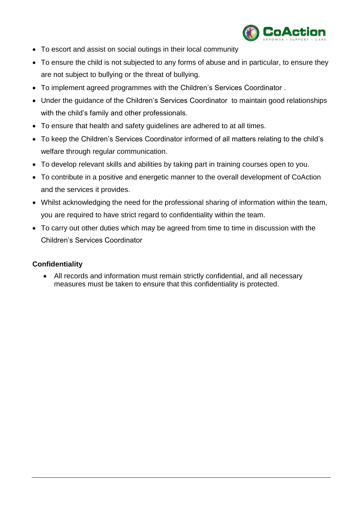

- To escort and assist on social outings in their local community
- To ensure the child is not subjected to any forms of abuse and in particular, to ensure they are not subject to bullying or the threat of bullying.
- To implement agreed programmes with the Children's Services Coordinator .
- Under the guidance of the Children's Services Coordinator to maintain good relationships with the child's family and other professionals.
- To ensure that health and safety guidelines are adhered to at all times.
- To keep the Children's Services Coordinator informed of all matters relating to the child's welfare through regular communication.
- To develop relevant skills and abilities by taking part in training courses open to you.
- To contribute in a positive and energetic manner to the overall development of CoAction and the services it provides.
- Whilst acknowledging the need for the professional sharing of information within the team, you are required to have strict regard to confidentiality within the team.
- To carry out other duties which may be agreed from time to time in discussion with the Children's Services Coordinator

## **Confidentiality**

 All records and information must remain strictly confidential, and all necessary measures must be taken to ensure that this confidentiality is protected.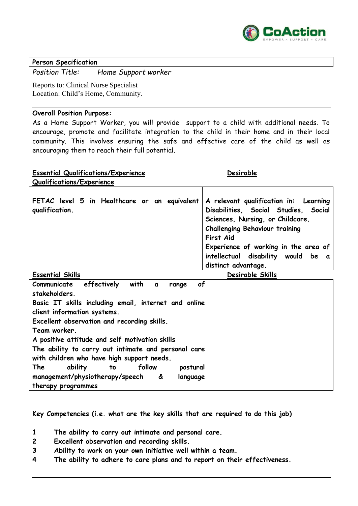

#### **Person Specification**

*Position Title: Home Support worker*

Reports to: Clinical Nurse Specialist Location: Child's Home, Community.

#### **Overall Position Purpose:**

As a Home Support Worker, you will provide support to a child with additional needs. To encourage, promote and facilitate integration to the child in their home and in their local community. This involves ensuring the safe and effective care of the child as well as encouraging them to reach their full potential.

| <b>Essential Qualifications/Experience</b>                     | Desirable                                                                                                                                                                                                                                                                    |
|----------------------------------------------------------------|------------------------------------------------------------------------------------------------------------------------------------------------------------------------------------------------------------------------------------------------------------------------------|
| Qualifications/Experience                                      |                                                                                                                                                                                                                                                                              |
| FETAC level 5 in Healthcare or an equivalent<br>qualification. | A relevant qualification in: Learning<br>Disabilities, Social Studies, Social<br>Sciences, Nursing, or Childcare.<br><b>Challenging Behaviour training</b><br>First Aid<br>Experience of working in the area of<br>intellectual disability would be a<br>distinct advantage. |
| $E_{\text{measured}}$ $\epsilon$ $\epsilon$ $\epsilon$         | Nachaella Chille                                                                                                                                                                                                                                                             |

| <b>Essential Skills</b>                                           | Desirable Skills |
|-------------------------------------------------------------------|------------------|
| of<br>effectively<br>with<br>Communicate<br>$\mathbf{a}$<br>range |                  |
| stakeholders.                                                     |                  |
| Basic IT skills including email, internet and online              |                  |
| client information systems.                                       |                  |
| Excellent observation and recording skills.                       |                  |
| Team worker.                                                      |                  |
| A positive attitude and self motivation skills                    |                  |
| The ability to carry out intimate and personal care               |                  |
| with children who have high support needs.                        |                  |
| follow<br>The<br>postural<br>ability<br>to                        |                  |
| management/physiotherapy/speech<br>&<br>language                  |                  |
| therapy programmes                                                |                  |

**Key Competencies (i.e. what are the key skills that are required to do this job)**

- **1 The ability to carry out intimate and personal care.**
- **2 Excellent observation and recording skills.**
- **3 Ability to work on your own initiative well within a team.**
- **4 The ability to adhere to care plans and to report on their effectiveness.**